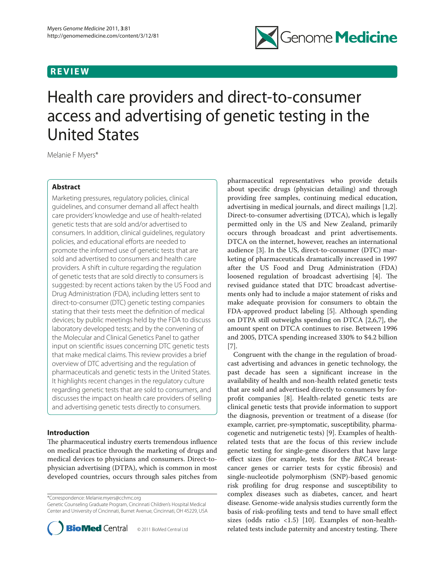## **REVIEW**



# Health care providers and direct-to-consumer access and advertising of genetic testing in the United States

Melanie F Myers\*

## **Abstract**

Marketing pressures, regulatory policies, clinical guidelines, and consumer demand all affect health care providers' knowledge and use of health-related genetic tests that are sold and/or advertised to consumers. In addition, clinical guidelines, regulatory policies, and educational efforts are needed to promote the informed use of genetic tests that are sold and advertised to consumers and health care providers. A shift in culture regarding the regulation of genetic tests that are sold directly to consumers is suggested: by recent actions taken by the US Food and Drug Administration (FDA), including letters sent to direct-to-consumer (DTC) genetic testing companies stating that their tests meet the definition of medical devices; by public meetings held by the FDA to discuss laboratory developed tests; and by the convening of the Molecular and Clinical Genetics Panel to gather input on scientific issues concerning DTC genetic tests that make medical claims. This review provides a brief overview of DTC advertising and the regulation of pharmaceuticals and genetic tests in the United States. It highlights recent changes in the regulatory culture regarding genetic tests that are sold to consumers, and discusses the impact on health care providers of selling and advertising genetic tests directly to consumers.

## **Introduction**

The pharmaceutical industry exerts tremendous influence on medical practice through the marketing of drugs and medical devices to physicians and consumers. Direct-tophysician advertising (DTPA), which is common in most developed countries, occurs through sales pitches from

\*Correspondence: Melanie.myers@cchmc.org

Genetic Counseling Graduate Program, Cincinnati Children's Hospital Medical Center and University of Cincinnati, Burnet Avenue, Cincinnati, OH 45229, USA



pharmaceutical representatives who provide details about specific drugs (physician detailing) and through providing free samples, continuing medical education, advertising in medical journals, and direct mailings [1,2]. Direct-to-consumer advertising (DTCA), which is legally permitted only in the US and New Zealand, primarily occurs through broadcast and print advertisements. DTCA on the internet, however, reaches an international audience [3]. In the US, direct-to-consumer (DTC) marketing of pharmaceuticals dramatically increased in 1997 after the US Food and Drug Administration (FDA) loosened regulation of broadcast advertising  $[4]$ . The revised guidance stated that DTC broadcast advertisements only had to include a major statement of risks and make adequate provision for consumers to obtain the FDA-approved product labeling [5]. Although spending on DTPA still outweighs spending on DTCA [2,6,7], the amount spent on DTCA continues to rise. Between 1996 and 2005, DTCA spending increased 330% to \$4.2 billion [7].

Congruent with the change in the regulation of broadcast advertising and advances in genetic technology, the past decade has seen a significant increase in the availability of health and non-health related genetic tests that are sold and advertised directly to consumers by forprofit companies [8]. Health-related genetic tests are clinical genetic tests that provide information to support the diagnosis, prevention or treatment of a disease (for example, carrier, pre-symptomatic, susceptibility, pharmacogenetic and nutrigenetic tests) [9]. Examples of healthrelated tests that are the focus of this review include genetic testing for single-gene disorders that have large effect sizes (for example, tests for the *BRCA* breastcancer genes or carrier tests for cystic fibrosis) and single-nucleotide polymorphism (SNP)-based genomic risk profiling for drug response and susceptibility to complex diseases such as diabetes, cancer, and heart disease. Genome-wide analysis studies currently form the basis of risk-profiling tests and tend to have small effect sizes (odds ratio  $\langle 1.5 \rangle$  [10]. Examples of non-healthrelated tests include paternity and ancestry testing. There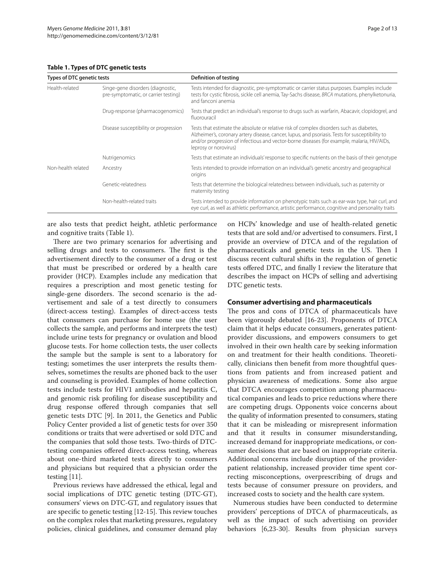**Table 1. Types of DTC genetic tests**

| Types of DTC genetic tests |                                                                           | <b>Definition of testing</b>                                                                                                                                                                                                                                                                                        |  |
|----------------------------|---------------------------------------------------------------------------|---------------------------------------------------------------------------------------------------------------------------------------------------------------------------------------------------------------------------------------------------------------------------------------------------------------------|--|
| Health-related             | Singe-gene disorders (diagnostic,<br>pre-symptomatic, or carrier testing) | Tests intended for diagnostic, pre-symptomatic or carrier status purposes. Examples include<br>tests for cystic fibrosis, sickle cell anemia, Tay-Sachs disease, BRCA mutations, phenylketonuria,<br>and fanconi anemia                                                                                             |  |
|                            | Drug-response (pharmacogenomics)                                          | Tests that predict an individual's response to drugs such as warfarin, Abacavir, clopidogrel, and<br>fluorouracil                                                                                                                                                                                                   |  |
|                            | Disease susceptibility or progression                                     | Tests that estimate the absolute or relative risk of complex disorders such as diabetes,<br>Alzheimer's, coronary artery disease, cancer, lupus, and psoriasis. Tests for susceptibility to<br>and/or progression of infectious and vector-borne diseases (for example, malaria, HIV/AIDs,<br>leprosy or norovirus) |  |
|                            | Nutrigenomics                                                             | Tests that estimate an individuals' response to specific nutrients on the basis of their genotype                                                                                                                                                                                                                   |  |
| Non-health related         | Ancestry                                                                  | Tests intended to provide information on an individual's genetic ancestry and geographical<br>origins                                                                                                                                                                                                               |  |
|                            | Genetic-relatedness                                                       | Tests that determine the biological relatedness between individuals, such as paternity or<br>maternity testing                                                                                                                                                                                                      |  |
|                            | Non-health-related traits                                                 | Tests intended to provide information on phenotypic traits such as ear-wax type, hair curl, and<br>eye curl, as well as athletic performance, artistic performance, cognitive and personality traits                                                                                                                |  |

are also tests that predict height, athletic performance and cognitive traits (Table 1).

There are two primary scenarios for advertising and selling drugs and tests to consumers. The first is the advertisement directly to the consumer of a drug or test that must be prescribed or ordered by a health care provider (HCP). Examples include any medication that requires a prescription and most genetic testing for single-gene disorders. The second scenario is the advertisement and sale of a test directly to consumers (direct-access testing). Examples of direct-access tests that consumers can purchase for home use (the user collects the sample, and performs and interprets the test) include urine tests for pregnancy or ovulation and blood glucose tests. For home collection tests, the user collects the sample but the sample is sent to a laboratory for testing; sometimes the user interprets the results themselves, sometimes the results are phoned back to the user and counseling is provided. Examples of home collection tests include tests for HIV1 antibodies and hepatitis C, and genomic risk profiling for disease susceptibility and drug response offered through companies that sell genetic tests DTC [9]. In 2011, the Genetics and Public Policy Center provided a list of genetic tests for over 350 conditions or traits that were advertised or sold DTC and the companies that sold those tests. Two-thirds of DTCtesting companies offered direct-access testing, whereas about one-third marketed tests directly to consumers and physicians but required that a physician order the testing [11].

Previous reviews have addressed the ethical, legal and social implications of DTC genetic testing (DTC-GT), consumers' views on DTC-GT, and regulatory issues that are specific to genetic testing [12-15]. This review touches on the complex roles that marketing pressures, regulatory policies, clinical guidelines, and consumer demand play

on HCPs' knowledge and use of health-related genetic tests that are sold and/or advertised to consumers. First, I provide an overview of DTCA and of the regulation of pharmaceuticals and genetic tests in the US. Then I discuss recent cultural shifts in the regulation of genetic tests offered DTC, and finally I review the literature that describes the impact on HCPs of selling and advertising DTC genetic tests.

#### **Consumer advertising and pharmaceuticals**

The pros and cons of DTCA of pharmaceuticals have been vigorously debated [16-23]. Proponents of DTCA claim that it helps educate consumers, generates patientprovider discussions, and empowers consumers to get involved in their own health care by seeking information on and treatment for their health conditions. Theoretically, clinicians then benefit from more thoughtful questions from patients and from increased patient and physician awareness of medications. Some also argue that DTCA encourages competition among pharmaceutical companies and leads to price reductions where there are competing drugs. Opponents voice concerns about the quality of information presented to consumers, stating that it can be misleading or misrepresent information and that it results in consumer misunderstanding, increased demand for inappropriate medications, or consumer decisions that are based on inappropriate criteria. Additional concerns include disruption of the providerpatient relationship, increased provider time spent correcting misconceptions, overprescribing of drugs and tests because of consumer pressure on providers, and increased costs to society and the health care system.

Numerous studies have been conducted to determine providers' perceptions of DTCA of pharmaceuticals, as well as the impact of such advertising on provider behaviors [6,23-30]. Results from physician surveys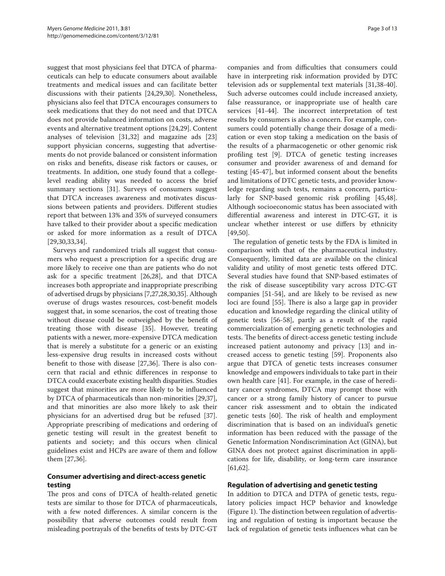suggest that most physicians feel that DTCA of pharmaceuticals can help to educate consumers about available treatments and medical issues and can facilitate better discussions with their patients [24,29,30]. Nonetheless, physicians also feel that DTCA encourages consumers to seek medications that they do not need and that DTCA does not provide balanced information on costs, adverse events and alternative treatment options [24,29]. Content analyses of television [31,32] and magazine ads [23] support physician concerns, suggesting that advertisements do not provide balanced or consistent information on risks and benefits, disease risk factors or causes, or treatments. In addition, one study found that a collegelevel reading ability was needed to access the brief summary sections [31]. Surveys of consumers suggest that DTCA increases awareness and motivates discussions between patients and providers. Different studies report that between 13% and 35% of surveyed consumers have talked to their provider about a specific medication or asked for more information as a result of DTCA [29,30,33,34].

Surveys and randomized trials all suggest that consumers who request a prescription for a specific drug are more likely to receive one than are patients who do not ask for a specific treatment [26,28], and that DTCA increases both appropriate and inappropriate prescribing of advertised drugs by physicians [7,27,28,30,35]. Although overuse of drugs wastes resources, cost-benefit models suggest that, in some scenarios, the cost of treating those without disease could be outweighed by the benefit of treating those with disease [35]. However, treating patients with a newer, more-expensive DTCA medication that is merely a substitute for a generic or an existing less-expensive drug results in increased costs without benefit to those with disease [27,36]. There is also concern that racial and ethnic differences in response to DTCA could exacerbate existing health disparities. Studies suggest that minorities are more likely to be influenced by DTCA of pharmaceuticals than non-minorities [29,37], and that minorities are also more likely to ask their physicians for an advertised drug but be refused [37]. Appropriate prescribing of medications and ordering of genetic testing will result in the greatest benefit to patients and society; and this occurs when clinical guidelines exist and HCPs are aware of them and follow them [27,36].

## **Consumer advertising and direct-access genetic testing**

The pros and cons of DTCA of health-related genetic tests are similar to those for DTCA of pharmaceuticals, with a few noted differences. A similar concern is the possibility that adverse outcomes could result from misleading portrayals of the benefits of tests by DTC-GT companies and from difficulties that consumers could have in interpreting risk information provided by DTC television ads or supplemental text materials [31,38-40]. Such adverse outcomes could include increased anxiety, false reassurance, or inappropriate use of health care services [41-44]. The incorrect interpretation of test results by consumers is also a concern. For example, consumers could potentially change their dosage of a medication or even stop taking a medication on the basis of the results of a pharmacogenetic or other genomic risk profiling test [9]. DTCA of genetic testing increases consumer and provider awareness of and demand for testing [45-47], but informed consent about the benefits and limitations of DTC genetic tests, and provider knowledge regarding such tests, remains a concern, particularly for SNP-based genomic risk profiling [45,48]. Although socioeconomic status has been associated with differential awareness and interest in DTC-GT, it is unclear whether interest or use differs by ethnicity [49,50].

The regulation of genetic tests by the FDA is limited in comparison with that of the pharmaceutical industry. Consequently, limited data are available on the clinical validity and utility of most genetic tests offered DTC. Several studies have found that SNP-based estimates of the risk of disease susceptibility vary across DTC-GT companies [51-54], and are likely to be revised as new loci are found [55]. There is also a large gap in provider education and knowledge regarding the clinical utility of genetic tests [56-58], partly as a result of the rapid commercialization of emerging genetic technologies and tests. The benefits of direct-access genetic testing include increased patient autonomy and privacy [13] and increased access to genetic testing [59]. Proponents also argue that DTCA of genetic tests increases consumer knowledge and empowers individuals to take part in their own health care [41]. For example, in the case of hereditary cancer syndromes, DTCA may prompt those with cancer or a strong family history of cancer to pursue cancer risk assessment and to obtain the indicated genetic tests [60]. The risk of health and employment discrimination that is based on an individual's genetic information has been reduced with the passage of the Genetic Information Nondiscrimination Act (GINA), but GINA does not protect against discrimination in applications for life, disability, or long-term care insurance [61,62].

## **Regulation of advertising and genetic testing**

In addition to DTCA and DTPA of genetic tests, regulatory policies impact HCP behavior and knowledge (Figure 1). The distinction between regulation of advertising and regulation of testing is important because the lack of regulation of genetic tests influences what can be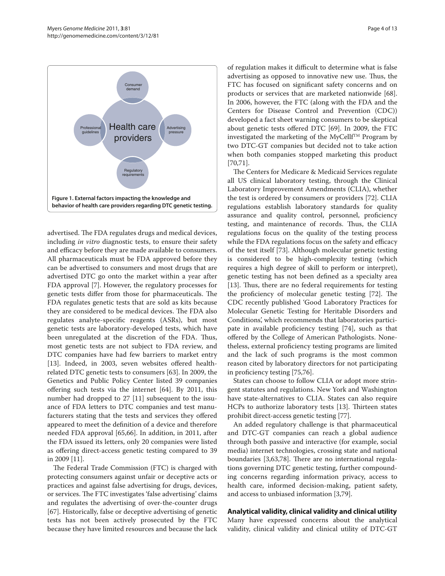

advertised. The FDA regulates drugs and medical devices, including *in vitro* diagnostic tests, to ensure their safety and efficacy before they are made available to consumers. All pharmaceuticals must be FDA approved before they can be advertised to consumers and most drugs that are advertised DTC go onto the market within a year after FDA approval [7]. However, the regulatory processes for genetic tests differ from those for pharmaceuticals. The FDA regulates genetic tests that are sold as kits because they are considered to be medical devices. The FDA also regulates analyte-specific reagents (ASRs), but most genetic tests are laboratory-developed tests, which have been unregulated at the discretion of the FDA. Thus, most genetic tests are not subject to FDA review, and DTC companies have had few barriers to market entry [13]. Indeed, in 2003, seven websites offered healthrelated DTC genetic tests to consumers [63]. In 2009, the Genetics and Public Policy Center listed 39 companies offering such tests via the internet [64]. By 2011, this number had dropped to 27 [11] subsequent to the issuance of FDA letters to DTC companies and test manufacturers stating that the tests and services they offered appeared to meet the definition of a device and therefore needed FDA approval [65,66]. In addition, in 2011, after the FDA issued its letters, only 20 companies were listed as offering direct-access genetic testing compared to 39 in 2009 [11].

The Federal Trade Commission (FTC) is charged with protecting consumers against unfair or deceptive acts or practices and against false advertising for drugs, devices, or services. The FTC investigates 'false advertising' claims and regulates the advertising of over-the-counter drugs [67]. Historically, false or deceptive advertising of genetic tests has not been actively prosecuted by the FTC because they have limited resources and because the lack of regulation makes it difficult to determine what is false advertising as opposed to innovative new use. Thus, the FTC has focused on significant safety concerns and on products or services that are marketed nationwide [68]. In 2006, however, the FTC (along with the FDA and the Centers for Disease Control and Prevention (CDC)) developed a fact sheet warning consumers to be skeptical about genetic tests offered DTC [69]. In 2009, the FTC investigated the marketing of the MyCell $f^{TM}$  Program by two DTC-GT companies but decided not to take action when both companies stopped marketing this product [70,71].

The Centers for Medicare & Medicaid Services regulate all US clinical laboratory testing, through the Clinical Laboratory Improvement Amendments (CLIA), whether the test is ordered by consumers or providers [72]. CLIA regulations establish laboratory standards for quality assurance and quality control, personnel, proficiency testing, and maintenance of records. Thus, the CLIA regulations focus on the quality of the testing process while the FDA regulations focus on the safety and efficacy of the test itself [73]. Although molecular genetic testing is considered to be high-complexity testing (which requires a high degree of skill to perform or interpret), genetic testing has not been defined as a specialty area [13]. Thus, there are no federal requirements for testing the proficiency of molecular genetic testing  $[72]$ . The CDC recently published 'Good Laboratory Practices for Molecular Genetic Testing for Heritable Disorders and Conditions', which recommends that laboratories participate in available proficiency testing [74], such as that offered by the College of American Pathologists. Nonetheless, external proficiency testing programs are limited and the lack of such programs is the most common reason cited by laboratory directors for not participating in proficiency testing [75,76].

States can choose to follow CLIA or adopt more stringent statutes and regulations. New York and Washington have state-alternatives to CLIA. States can also require HCPs to authorize laboratory tests [13]. Thirteen states prohibit direct-access genetic testing [77].

An added regulatory challenge is that pharmaceutical and DTC-GT companies can reach a global audience through both passive and interactive (for example, social media) internet technologies, crossing state and national boundaries [3,63,78]. There are no international regulations governing DTC genetic testing, further compounding concerns regarding information privacy, access to health care, informed decision-making, patient safety, and access to unbiased information [3,79].

## **Analytical validity, clinical validity and clinical utility**

Many have expressed concerns about the analytical validity, clinical validity and clinical utility of DTC-GT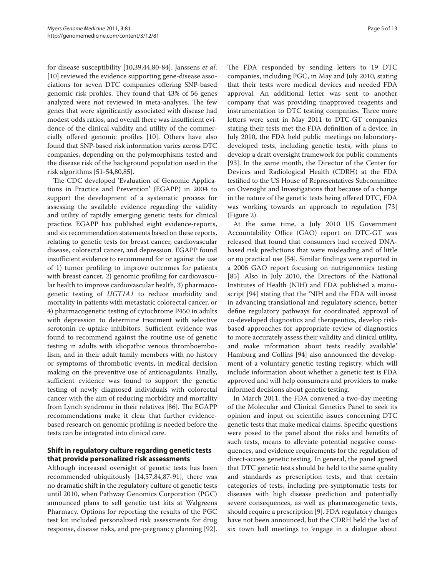for disease susceptibility [10,39,44,80-84]. Janssens *et al*. [10] reviewed the evidence supporting gene-disease associations for seven DTC companies offering SNP-based genomic risk profiles. They found that 43% of 56 genes analyzed were not reviewed in meta-analyses. The few genes that were significantly associated with disease had modest odds ratios, and overall there was insufficient evidence of the clinical validity and utility of the commercially offered genomic profiles [10]. Others have also found that SNP-based risk information varies across DTC companies, depending on the polymorphisms tested and the disease risk of the background population used in the risk algorithms [51-54,80,85].

The CDC developed 'Evaluation of Genomic Applications in Practice and Prevention' (EGAPP) in 2004 to support the development of a systematic process for assessing the available evidence regarding the validity and utility of rapidly emerging genetic tests for clinical practice. EGAPP has published eight evidence-reports, and six recommendation statements based on these reports, relating to genetic tests for breast cancer, cardiovascular disease, colorectal cancer, and depression. EGAPP found insufficient evidence to recommend for or against the use of 1) tumor profiling to improve outcomes for patients with breast cancer, 2) genomic profiling for cardiovascular health to improve cardiovascular health, 3) pharmacogenetic testing of *UGT1A1* to reduce morbidity and mortality in patients with metastatic colorectal cancer, or 4) pharmacogenetic testing of cytochrome P450 in adults with depression to determine treatment with selective serotonin re-uptake inhibitors. Sufficient evidence was found to recommend against the routine use of genetic testing in adults with idiopathic venous thromboembolism, and in their adult family members with no history or symptoms of thrombotic events, in medical decision making on the preventive use of anticoagulants. Finally, sufficient evidence was found to support the genetic testing of newly diagnosed individuals with colorectal cancer with the aim of reducing morbidity and mortality from Lynch syndrome in their relatives [86]. The EGAPP recommendations make it clear that further evidencebased research on genomic profiling is needed before the tests can be integrated into clinical care.

## **Shift in regulatory culture regarding genetic tests that provide personalized risk assessments**

Although increased oversight of genetic tests has been recommended ubiquitously [14,57,84,87-91], there was no dramatic shift in the regulatory culture of genetic tests until 2010, when Pathway Genomics Corporation (PGC) announced plans to sell genetic test kits at Walgreens Pharmacy. Options for reporting the results of the PGC test kit included personalized risk assessments for drug response, disease risks, and pre-pregnancy planning [92].

The FDA responded by sending letters to 19 DTC companies, including PGC, in May and July 2010, stating that their tests were medical devices and needed FDA approval. An additional letter was sent to another company that was providing unapproved reagents and instrumentation to DTC testing companies. Three more letters were sent in May 2011 to DTC-GT companies stating their tests met the FDA definition of a device. In July 2010, the FDA held public meetings on laboratorydeveloped tests, including genetic tests, with plans to develop a draft oversight framework for public comments [93]. In the same month, the Director of the Center for Devices and Radiological Health (CDRH) at the FDA testified to the US House of Representatives Subcommittee on Oversight and Investigations that because of a change in the nature of the genetic tests being offered DTC, FDA was working towards an approach to regulation [73] (Figure 2).

At the same time, a July 2010 US Government Accountability Office (GAO) report on DTC-GT was released that found that consumers had received DNAbased risk predictions that were misleading and of little or no practical use [54]. Similar findings were reported in a 2006 GAO report focusing on nutrigenomics testing [85]. Also in July 2010, the Directors of the National Institutes of Health (NIH) and FDA published a manuscript [94] stating that the 'NIH and the FDA will invest in advancing translational and regulatory science, better define regulatory pathways for coordinated approval of co-developed diagnostics and therapeutics, develop riskbased approaches for appropriate review of diagnostics to more accurately assess their validity and clinical utility, and make information about tests readily available.' Hamburg and Collins [94] also announced the development of a voluntary genetic testing registry, which will include information about whether a genetic test is FDA approved and will help consumers and providers to make informed decisions about genetic testing.

In March 2011, the FDA convened a two-day meeting of the Molecular and Clinical Genetics Panel to seek its opinion and input on scientific issues concerning DTC genetic tests that make medical claims. Specific questions were posed to the panel about the risks and benefits of such tests, means to alleviate potential negative consequences, and evidence requirements for the regulation of direct-access genetic testing. In general, the panel agreed that DTC genetic tests should be held to the same quality and standards as prescription tests, and that certain categories of tests, including pre-symptomatic tests for diseases with high disease prediction and potentially severe consequences, as well as pharmacogenetic tests, should require a prescription [9]. FDA regulatory changes have not been announced, but the CDRH held the last of six town hall meetings to 'engage in a dialogue about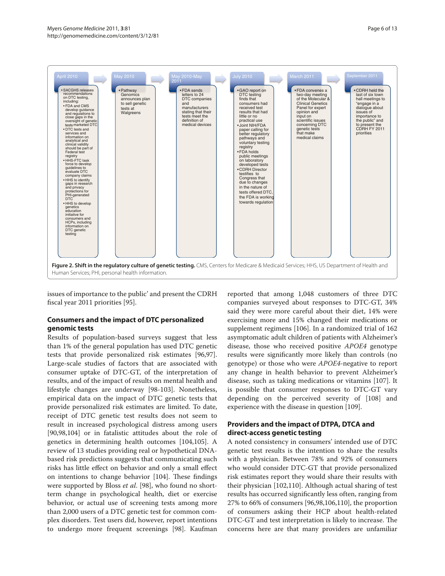

issues of importance to the public' and present the CDRH fiscal year 2011 priorities [95].

## **Consumers and the impact of DTC personalized genomic tests**

Results of population-based surveys suggest that less than 1% of the general population has used DTC genetic tests that provide personalized risk estimates [96,97]. Large-scale studies of factors that are associated with consumer uptake of DTC-GT, of the interpretation of results, and of the impact of results on mental health and lifestyle changes are underway [98-103]. Nonetheless, empirical data on the impact of DTC genetic tests that provide personalized risk estimates are limited. To date, receipt of DTC genetic test results does not seem to result in increased psychological distress among users [90,98,104] or in fatalistic attitudes about the role of genetics in determining health outcomes [104,105]. A review of 13 studies providing real or hypothetical DNAbased risk predictions suggests that communicating such risks has little effect on behavior and only a small effect on intentions to change behavior [104]. These findings were supported by Bloss *et al*. [98], who found no shortterm change in psychological health, diet or exercise behavior, or actual use of screening tests among more than 2,000 users of a DTC genetic test for common complex disorders. Test users did, however, report intentions to undergo more frequent screenings [98]. Kaufman reported that among 1,048 customers of three DTC companies surveyed about responses to DTC-GT, 34% said they were more careful about their diet, 14% were exercising more and 15% changed their medications or supplement regimens [106]. In a randomized trial of 162 asymptomatic adult children of patients with Alzheimer's disease, those who received positive *APOE4* genotype results were significantly more likely than controls (no genotype) or those who were *APOE4-*negative to report any change in health behavior to prevent Alzheimer's disease, such as taking medications or vitamins [107]. It is possible that consumer responses to DTC-GT vary depending on the perceived severity of [108] and experience with the disease in question [109].

## **Providers and the impact of DTPA, DTCA and direct-access genetic testing**

A noted consistency in consumers' intended use of DTC genetic test results is the intention to share the results with a physician. Between 78% and 92% of consumers who would consider DTC-GT that provide personalized risk estimates report they would share their results with their physician [102,110]. Although actual sharing of test results has occurred significantly less often, ranging from 27% to 66% of consumers [96,98,106,110], the proportion of consumers asking their HCP about health-related DTC-GT and test interpretation is likely to increase. The concerns here are that many providers are unfamiliar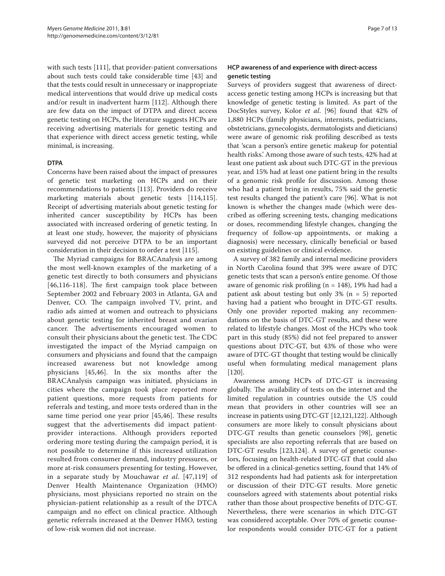with such tests [111], that provider-patient conversations about such tests could take considerable time [43] and that the tests could result in unnecessary or inappropriate medical interventions that would drive up medical costs and/or result in inadvertent harm [112]. Although there are few data on the impact of DTPA and direct access genetic testing on HCPs, the literature suggests HCPs are receiving advertising materials for genetic testing and that experience with direct access genetic testing, while minimal, is increasing.

#### **DTPA**

Concerns have been raised about the impact of pressures of genetic test marketing on HCPs and on their recommendations to patients [113]. Providers do receive marketing materials about genetic tests [114,115]. Receipt of advertising materials about genetic testing for inherited cancer susceptibility by HCPs has been associated with increased ordering of genetic testing. In at least one study, however, the majority of physicians surveyed did not perceive DTPA to be an important consideration in their decision to order a test [115].

The Myriad campaigns for BRACAnalysis are among the most well-known examples of the marketing of a genetic test directly to both consumers and physicians [46,116-118]. The first campaign took place between September 2002 and February 2003 in Atlanta, GA and Denver, CO. The campaign involved TV, print, and radio ads aimed at women and outreach to physicians about genetic testing for inherited breast and ovarian cancer. The advertisements encouraged women to consult their physicians about the genetic test. The CDC investigated the impact of the Myriad campaign on consumers and physicians and found that the campaign increased awareness but not knowledge among physicians [45,46]. In the six months after the BRACAnalysis campaign was initiated, physicians in cities where the campaign took place reported more patient questions, more requests from patients for referrals and testing, and more tests ordered than in the same time period one year prior [45,46]. These results suggest that the advertisements did impact patientprovider interactions. Although providers reported ordering more testing during the campaign period, it is not possible to determine if this increased utilization resulted from consumer demand, industry pressures, or more at-risk consumers presenting for testing. However, in a separate study by Mouchawar *et al*. [47,119] of Denver Health Maintenance Organization (HMO) physicians, most physicians reported no strain on the physician-patient relationship as a result of the DTCA campaign and no effect on clinical practice. Although genetic referrals increased at the Denver HMO, testing of low-risk women did not increase.

## **HCP awareness of and experience with direct-access genetic testing**

Surveys of providers suggest that awareness of directaccess genetic testing among HCPs is increasing but that knowledge of genetic testing is limited. As part of the DocStyles survey, Kolor *et al*. [96] found that 42% of 1,880 HCPs (family physicians, internists, pediatricians, obstetricians, gynecologists, dermatologists and dieticians) were aware of genomic risk profiling described as tests that 'scan a person's entire genetic makeup for potential health risks.' Among those aware of such tests, 42% had at least one patient ask about such DTC-GT in the previous year, and 15% had at least one patient bring in the results of a genomic risk profile for discussion. Among those who had a patient bring in results, 75% said the genetic test results changed the patient's care [96]. What is not known is whether the changes made (which were described as offering screening tests, changing medications or doses, recommending lifestyle changes, changing the frequency of follow-up appointments, or making a diagnosis) were necessary, clinically beneficial or based on existing guidelines or clinical evidence.

A survey of 382 family and internal medicine providers in North Carolina found that 39% were aware of DTC genetic tests that scan a person's entire genome. Of those aware of genomic risk profiling ( $n = 148$ ), 19% had had a patient ask about testing but only  $3\%$  (n = 5) reported having had a patient who brought in DTC-GT results. Only one provider reported making any recommendations on the basis of DTC-GT results, and these were related to lifestyle changes. Most of the HCPs who took part in this study (85%) did not feel prepared to answer questions about DTC-GT, but 43% of those who were aware of DTC-GT thought that testing would be clinically useful when formulating medical management plans [120].

Awareness among HCPs of DTC-GT is increasing globally. The availability of tests on the internet and the limited regulation in countries outside the US could mean that providers in other countries will see an increase in patients using DTC-GT [12,121,122]. Although consumers are more likely to consult physicians about DTC-GT results than genetic counselors [98], genetic specialists are also reporting referrals that are based on DTC-GT results [123,124]. A survey of genetic counselors, focusing on health-related DTC-GT that could also be offered in a clinical-genetics setting, found that 14% of 312 respondents had had patients ask for interpretation or discussion of their DTC-GT results. More genetic counselors agreed with statements about potential risks rather than those about prospective benefits of DTC-GT. Nevertheless, there were scenarios in which DTC-GT was considered acceptable. Over 70% of genetic counselor respondents would consider DTC-GT for a patient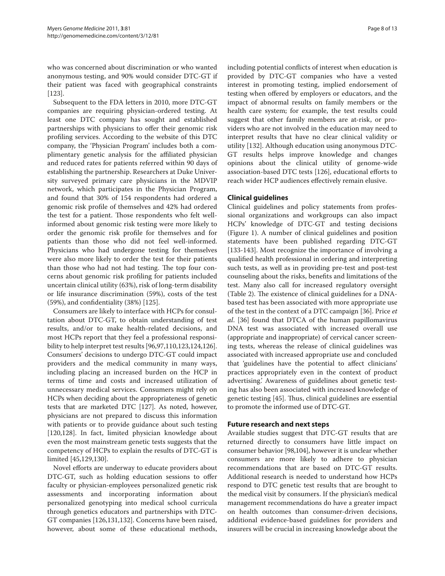who was concerned about discrimination or who wanted anonymous testing, and 90% would consider DTC-GT if their patient was faced with geographical constraints [123].

Subsequent to the FDA letters in 2010, more DTC-GT companies are requiring physician-ordered testing. At least one DTC company has sought and established partnerships with physicians to offer their genomic risk profiling services. According to the website of this DTC company, the 'Physician Program' includes both a complimentary genetic analysis for the affiliated physician and reduced rates for patients referred within 90 days of establishing the partnership. Researchers at Duke University surveyed primary care physicians in the MDVIP network, which participates in the Physician Program, and found that 30% of 154 respondents had ordered a genomic risk profile of themselves and 42% had ordered the test for a patient. Those respondents who felt wellinformed about genomic risk testing were more likely to order the genomic risk profile for themselves and for patients than those who did not feel well-informed. Physicians who had undergone testing for themselves were also more likely to order the test for their patients than those who had not had testing. The top four concerns about genomic risk profiling for patients included uncertain clinical utility (63%), risk of long-term disability or life insurance discrimination (59%), costs of the test (59%), and confidentiality (38%) [125].

Consumers are likely to interface with HCPs for consultation about DTC-GT, to obtain understanding of test results, and/or to make health-related decisions, and most HCPs report that they feel a professional responsibility to help interpret test results [96,97,110,123,124,126]. Consumers' decisions to undergo DTC-GT could impact providers and the medical community in many ways, including placing an increased burden on the HCP in terms of time and costs and increased utilization of unnecessary medical services. Consumers might rely on HCPs when deciding about the appropriateness of genetic tests that are marketed DTC [127]. As noted, however, physicians are not prepared to discuss this information with patients or to provide guidance about such testing [120,128]. In fact, limited physician knowledge about even the most mainstream genetic tests suggests that the competency of HCPs to explain the results of DTC-GT is limited [45,129,130].

Novel efforts are underway to educate providers about DTC-GT, such as holding education sessions to offer faculty or physician-employees personalized genetic risk assessments and incorporating information about personalized genotyping into medical school curricula through genetics educators and partnerships with DTC-GT companies [126,131,132]. Concerns have been raised, however, about some of these educational methods, including potential conflicts of interest when education is provided by DTC-GT companies who have a vested interest in promoting testing, implied endorsement of testing when offered by employers or educators, and the impact of abnormal results on family members or the health care system; for example, the test results could suggest that other family members are at-risk, or providers who are not involved in the education may need to interpret results that have no clear clinical validity or utility [132]. Although education using anonymous DTC-GT results helps improve knowledge and changes opinions about the clinical utility of genome-wide association-based DTC tests [126], educational efforts to reach wider HCP audiences effectively remain elusive.

#### **Clinical guidelines**

Clinical guidelines and policy statements from professional organizations and workgroups can also impact HCPs' knowledge of DTC-GT and testing decisions (Figure 1). A number of clinical guidelines and position statements have been published regarding DTC-GT [133-143]. Most recognize the importance of involving a qualified health professional in ordering and interpreting such tests, as well as in providing pre-test and post-test counseling about the risks, benefits and limitations of the test. Many also call for increased regulatory oversight (Table 2). The existence of clinical guidelines for a DNAbased test has been associated with more appropriate use of the test in the context of a DTC campaign [36]. Price *et al*. [36] found that DTCA of the human papillomavirus DNA test was associated with increased overall use (appropriate and inappropriate) of cervical cancer screening tests, whereas the release of clinical guidelines was associated with increased appropriate use and concluded that 'guidelines have the potential to affect clinicians' practices appropriately even in the context of product advertising.' Awareness of guidelines about genetic testing has also been associated with increased knowledge of genetic testing [45]. Thus, clinical guidelines are essential to promote the informed use of DTC-GT.

#### **Future research and next steps**

Available studies suggest that DTC-GT results that are returned directly to consumers have little impact on consumer behavior [98,104], however it is unclear whether consumers are more likely to adhere to physician recommendations that are based on DTC-GT results. Additional research is needed to understand how HCPs respond to DTC genetic test results that are brought to the medical visit by consumers. If the physician's medical management recommendations do have a greater impact on health outcomes than consumer-driven decisions, additional evidence-based guidelines for providers and insurers will be crucial in increasing knowledge about the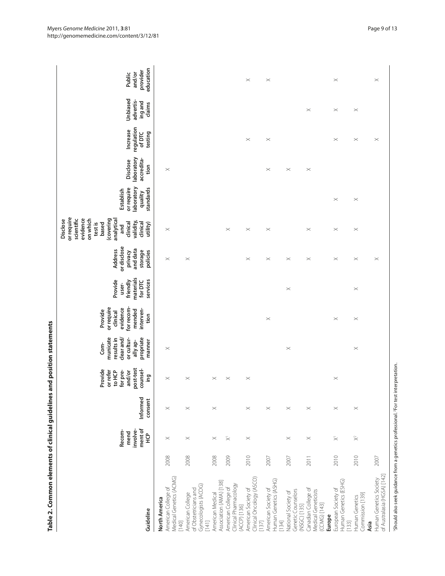| Guideline                                                                 |      | ment of<br>involve-<br>Recom-<br>mend<br>운<br>노 | Informed<br>consent | post-test<br>counsel-<br>Provide<br>or refer<br>for pre-<br>to HCP<br>and/or<br>ing | municate<br>or cultur-<br>results in<br>clear and/<br>propriate<br>ally ap-<br>manner<br>$Com-$ | for recom-<br>or require<br>evidence<br>interven-<br>mended<br>Provide<br>clinical<br>tion | materials<br>Provide<br>services<br>friendly<br>for DTC<br>user- | or disclose<br>and data<br><b>Address</b><br>storage<br>policies<br>privacy | or require<br>evidence<br>scientific<br>on which<br>(covering<br>analytical<br>Disclose<br>validity,<br>dinical<br>clinical<br>testis<br>based<br>utility)<br>and | laboratory<br>or require<br>standards<br>Establish<br>quality | laboratory<br>accredita-<br>Disclose<br>tion | regulation<br><b>Increase</b><br>testing<br>of DTC | Unbiased<br>advertis-<br>ing and<br>claims | education<br>provider<br>and/or<br>Public |
|---------------------------------------------------------------------------|------|-------------------------------------------------|---------------------|-------------------------------------------------------------------------------------|-------------------------------------------------------------------------------------------------|--------------------------------------------------------------------------------------------|------------------------------------------------------------------|-----------------------------------------------------------------------------|-------------------------------------------------------------------------------------------------------------------------------------------------------------------|---------------------------------------------------------------|----------------------------------------------|----------------------------------------------------|--------------------------------------------|-------------------------------------------|
| Medical Genetics (ACMG)<br>American College of<br>North America<br>[140]  | 2008 | $\times$                                        | $\! \times$         | $\! \times$                                                                         | $\! \times$                                                                                     |                                                                                            |                                                                  | $\! \times$                                                                 | $\! \times$                                                                                                                                                       |                                                               | $\! \times$                                  |                                                    |                                            |                                           |
| Gynecologists (ACOG)<br>of Obstetricians and<br>American College<br>[141] | 2008 | $\times$                                        | $\! \times$         | $\times$                                                                            |                                                                                                 |                                                                                            |                                                                  | $\times$                                                                    |                                                                                                                                                                   |                                                               |                                              |                                                    |                                            |                                           |
| Association (AMA) [138]<br>American Medical                               | 2008 | $\! \times$                                     | $\times$            | $\times$                                                                            |                                                                                                 |                                                                                            |                                                                  |                                                                             |                                                                                                                                                                   |                                                               |                                              |                                                    |                                            |                                           |
| Clinical Pharmacology<br>American College of<br>(ACCP) [136]              | 2009 | $\bar{\times}$                                  |                     | $\times$                                                                            |                                                                                                 |                                                                                            |                                                                  |                                                                             | $\times$                                                                                                                                                          |                                                               |                                              |                                                    |                                            |                                           |
| Clinical Oncology (ASCO)<br>American Society of<br>[137]                  | 2010 | $\! \times$                                     | $\! \times$         | $\! \times$                                                                         |                                                                                                 |                                                                                            |                                                                  | $\! \times$                                                                 | $\times$                                                                                                                                                          |                                                               |                                              | $\! \times$                                        |                                            | $\! \times$                               |
| Human Genetics (ASHG)<br>American Society of<br>[134]                     | 2007 |                                                 | $\! \times$         |                                                                                     |                                                                                                 | $\times$                                                                                   |                                                                  | $\times$                                                                    | $\! \times$                                                                                                                                                       |                                                               | $\! \times$                                  | $\! \times$                                        |                                            | $\times$                                  |
| Genetic Counselors<br>National Society of<br>(NSGC) [135]                 | 2007 | $\! \times$                                     | $\! \times$         |                                                                                     | $\times$                                                                                        |                                                                                            | $\times$                                                         | $\! \times$                                                                 |                                                                                                                                                                   |                                                               | $\! \times$                                  |                                                    |                                            |                                           |
| Canadian College of<br>Medical Geneticists<br>(CCMG) [143]<br>Europe      | 2011 | $\! \times$                                     | $\! \times$         |                                                                                     |                                                                                                 |                                                                                            |                                                                  | $\! \times$                                                                 | $\! \times$                                                                                                                                                       |                                                               | $\! \times$                                  |                                                    | $\times$                                   |                                           |
| Human Genetics (ESHG)<br>European Society of<br>[133]                     | 2010 | $\bar{\times}$                                  | $\times$            | $\times$                                                                            |                                                                                                 | $\times$                                                                                   |                                                                  | $\times$                                                                    | $\times$                                                                                                                                                          | $\times$                                                      |                                              | $\times$                                           | $\times$                                   | $\times$                                  |
| Commission [139]<br>Human Genetics<br>Asia                                | 2010 | $\stackrel{\sim}{\times}$                       | $\! \times$         |                                                                                     | $\times$                                                                                        | $\! \times$                                                                                | $\! \times$                                                      | $\! \times$                                                                 | $\times$                                                                                                                                                          | $\! \times$                                                   |                                              | $\! \times$                                        | $\times$                                   |                                           |
| of Australasia (HGSA) [142]<br>Human Genetics Society                     | 2007 |                                                 |                     |                                                                                     |                                                                                                 |                                                                                            |                                                                  | $\times$                                                                    |                                                                                                                                                                   |                                                               |                                              | $\times$                                           |                                            | $\times$                                  |

Table 2. Common elements of clinical guidelines and position statements **Table 2. Common elements of clinical guidelines and position statements**

'Should also seek guidance from a genetics professional. <sup>2</sup>For test interpretation. 1Should also seek guidance from a genetics professional. 2For test interpretation.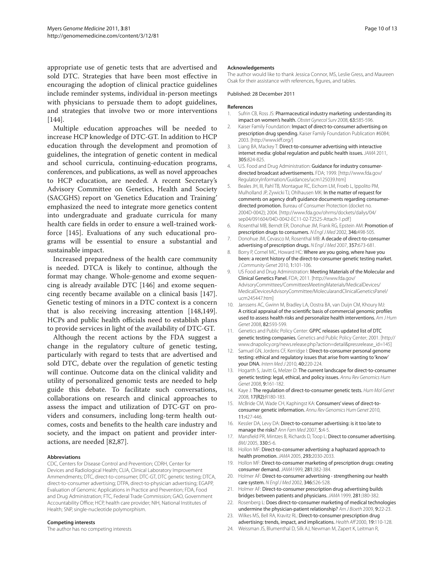appropriate use of genetic tests that are advertised and sold DTC. Strategies that have been most effective in encouraging the adoption of clinical practice guidelines include reminder systems, individual in-person meetings with physicians to persuade them to adopt guidelines, and strategies that involve two or more interventions [144].

Multiple education approaches will be needed to increase HCP knowledge of DTC-GT. In addition to HCP education through the development and promotion of guidelines, the integration of genetic content in medical and school curricula, continuing-education programs, conferences, and publications, as well as novel approaches to HCP education, are needed. A recent Secretary's Advisory Committee on Genetics, Health and Society (SACGHS) report on 'Genetics Education and Training' emphasized the need to integrate more genetics content into undergraduate and graduate curricula for many health care fields in order to ensure a well-trained workforce [145]. Evaluations of any such educational programs will be essential to ensure a substantial and sustainable impact.

Increased preparedness of the health care community is needed. DTCA is likely to continue, although the format may change. Whole-genome and exome sequencing is already available DTC [146] and exome sequencing recently became available on a clinical basis [147]. Genetic testing of minors in a DTC context is a concern that is also receiving increasing attention [148,149]. HCPs and public health officials need to establish plans to provide services in light of the availability of DTC-GT.

Although the recent actions by the FDA suggest a change in the regulatory culture of genetic testing, particularly with regard to tests that are advertised and sold DTC, debate over the regulation of genetic testing will continue. Outcome data on the clinical validity and utility of personalized genomic tests are needed to help guide this debate. To facilitate such conversations, collaborations on research and clinical approaches to assess the impact and utilization of DTC-GT on providers and consumers, including long-term health outcomes, costs and benefits to the health care industry and society, and the impact on patient and provider interactions, are needed [82,87].

#### **Abbreviations**

CDC, Centers for Disease Control and Prevention; CDRH, Center for Devices and Radiological Health; CLIA, Clinical Laboratory Improvement Ammendments; DTC, direct-to-consumer; DTC-GT, DTC genetic testing; DTCA, direct-to-consumer advertising; DTPA, direct-to-physician advertising; EGAPP, Evaluation of Genomic Applications in Practice and Prevention; FDA, Food and Drug Administration; FTC, Federal Trade Commission; GAO, Government Accountability Office; HCP, health care provider; NIH, National Institutes of Health; SNP, single-nucleotide polymorphism.

#### **Competing interests**

The author has no competing interests

#### **Acknowledgements**

The author would like to thank Jessica Connor, MS, Leslie Gress, and Maureen Osak for their assistance with references, figures, and tables.

#### Published: 28 December 2011

#### **References**

- 1. Sufrin CB, Ross JS: Pharmaceutical industry marketing: understanding its impact on women's health. *Obstet Gynecol Surv* 2008, 63:585-596.
- Kaiser Family Foundation: Impact of direct-to-consumer advertising on prescription drug spending. Kaiser Family Foundation Publication #6084; 2003. [http://www.kff.org/]
- 3. Liang BA, Mackey T: Direct-to-consumer advertising with interactive internet media: global regulation and public health issues. *JAMA* 2011, 305:824-825.
- 4. U.S. Food and Drug Administration: Guidance for industry consumerdirected broadcast advertisements. FDA; 1999. [http://www.fda.gov/ RegulatoryInformation/Guidances/ucm125039.htm]
- 5. Beales JH, III, Pahl TB, Montague RC, Eichorn LM, Froeb L, Ippolito PM, Mulholland JP, Zywicki TJ, Ohlhausen MK: In the matter of request for comments on agency draft guidance documents regarding consumerdirected promotion. Bureau of Consumer Protection (docket no. 2004D-0042); 2004. [http://www.fda.gov/ohrms/dockets/dailys/04/ sep04/091604/04D-0042-EC11-02-T2525-Attach-1.pdf ]
- Rosenthal MB, Berndt ER, Donohue JM, Frank RG, Epstein AM: Promotion of prescription drugs to consumers. *N Engl J Med* 2002, 346:498-505.
- 7. Donohue JM, Cevasco M, Rosenthal MB: A decade of direct-to-consumer advertising of prescription drugs. *N Engl J Med* 2007, 357:673-681.
- 8. Borry P, Cornel MC, Howard HC: Where are you going, where have you been: a recent history of the direct-to-consumer genetic testing market. *J Community Genet* 2010, 1:101-106.
- 9. US Food and Drug Administration: Meeting Materials of the Molecular and Clinical Genetics Panel. FDA; 2011. [http://www.fda.gov/ AdvisoryCommittees/CommitteesMeetingMaterials/MedicalDevices/ MedicalDevicesAdvisoryCommittee/MolecularandClinicalGeneticsPanel/ ucm245447.htm]
- 10. Janssens AC, Gwinn M, Bradley LA, Oostra BA, van Duijn CM, Khoury MJ: A critical appraisal of the scientific basis of commercial genomic profiles used to assess health risks and personalize health interventions. *Am J Hum Genet* 2008, 82:593-599.
- 11. Genetics and Public Policy Center: GPPC releases updated list of DTC genetic testing companies. Genetics and Public Policy Center; 2001. [http:// www.dnapolicy.org/news.release.php?action=detail&pressrelease\_id=145]
- 12. Samuel GN, Jordens CF, Kerridge I: Direct-to-consumer personal genome testing: ethical and regulatory issues that arise from wanting to 'know' your DNA. *Intern Med J* 2010, 40:220-224.
- 13. Hogarth S, Javitt G, Melzer D: The current landscape for direct-to-consumer genetic testing: legal, ethical, and policy issues. *Annu Rev Genomics Hum Genet* 2008, 9:161-182.
- 14. Kaye J: The regulation of direct-to-consumer genetic tests. *Hum Mol Genet*  2008, 17(R2):R180-183.
- 15. McBride CM, Wade CH, Kaphingst KA: Consumers' views of direct-toconsumer genetic information. *Annu Rev Genomics Hum Genet* 2010, 11:427-446.
- 16. Kessler DA, Levy DA: Direct-to-consumer advertising: is it too late to manage the risks? *Ann Fam Med* 2007, 5:4-5.
- 17. Mansfield PR, Mintzes B, Richards D, Toop L: Direct to consumer advertising. *BMJ* 2005, 330:5-6.
- 18. Hollon MF: Direct-to-consumer advertising: a haphazard approach to health promotion. *JAMA* 2005, 293:2030-2033.
- 19. Hollon MF: Direct-to-consumer marketing of prescription drugs: creating consumer demand. *JAMA*1999, 281:382-384.
- 20. Holmer AF: Direct-to-consumer advertising strengthening our health care system. *N Engl J Med* 2002, 346:526-528.
- 21. Holmer AF: Direct-to-consumer prescription drug advertising builds bridges between patients and physicians. *JAMA* 1999, 281:380-382.
- 22. Rosenberg L: Does direct-to-consumer marketing of medical technologies undermine the physician-patient relationship? *Am J Bioeth* 2009, 9:22-23.
- 23. Wilkes MS, Bell RA, Kravitz RL: Direct-to-consumer prescription drug advertising: trends, impact, and implications. *Health Aff* 2000, 19:110-128.
- 24. Weissman JS, Blumenthal D, Silk AJ, Newman M, Zapert K, Leitman R,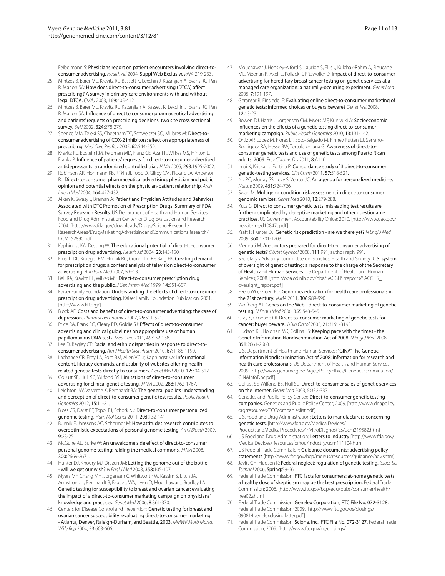Feibelmann S: Physicians report on patient encounters involving direct-toconsumer advertising. *Health Aff* 2004, Suppl Web Exclusives:W4-219-233.

- 25. Mintzes B, Barer ML, Kravitz RL, Bassett K, Lexchin J, Kazanjian A, Evans RG, Pan R, Marion SA: How does direct-to-consumer advertising (DTCA) affect prescribing? A survey in primary care environments with and without legal DTCA. *CMAJ* 2003, 169:405-412.
- 26. Mintzes B, Barer ML, Kravitz RL, Kazanjian A, Bassett K, Lexchin J, Evans RG, Pan R, Marion SA: Influence of direct to consumer pharmaceutical advertising and patients' requests on prescribing decisions: two site cross sectional survey. *BMJ* 2002, 324:278-279.
- 27. Spence MM, Teleki SS, Cheetham TC, Schweitzer SO, Millares M: Direct-toconsumer advertising of COX-2 inhibitors: effect on appropriateness of prescribing. *Med Care Res Rev* 2005, 62:544-559.
- 28. Kravitz RL, Epstein RM, Feldman MD, Franz CE, Azari R, Wilkes MS, Hinton L, Franks P: Influence of patients' requests for direct-to-consumer advertised antidepressants: a randomized controlled trial. *JAMA* 2005, 293:1995-2002.
- 29. Robinson AR, Hohmann KB, Rifkin JI, Topp D, Gilroy CM, Pickard JA, Anderson RJ: Direct-to-consumer pharmaceutical advertising: physician and public opinion and potential effects on the physician-patient relationship. *Arch Intern Med* 2004, 164:427-432.
- 30. Aiken K, Swasy J, Braman A: Patient and Physician Attitudes and Behaviors Associated with DTC Promotion of Prescription Drugs: Summary of FDA Survey Research Results. US Department of Health and Human Services Food and Drug Administration Center for Drug Evaluation and Research; 2004. [http://www.fda.gov/downloads/Drugs/ScienceResearch/ ResearchAreas/DrugMarketingAdvertisingandCommunicationsResearch/ UCM152890.pdf1
- 31. Kaphingst KA, DeJong W: The educational potential of direct-to-consumer prescription drug advertising. *Health Aff* 2004, 23:143-150.
- 32. Frosch DL, Krueger PM, Hornik RC, Cronholm PF, Barg FK: Creating demand for prescription drugs: a content analysis of television direct-to-consumer advertising. *Ann Fam Med* 2007, 5:6-13.
- 33. Bell RA, Kravitz RL, Wilkes MS: Direct-to-consumer prescription drug advertising and the public. *J Gen Intern Med* 1999, 14:651-657.
- 34. Kaiser Family Foundation: Understanding the effects of direct-to-consumer prescription drug advertising. Kaiser Family Foundation Publication; 2001. [http://www.kff.org/]
- 35. Block AE: Costs and benefits of direct-to-consumer advertising: the case of depression. *Pharmacoeconomics* 2007, 25:511-521.
- 36. Price RA, Frank RG, Cleary PD, Goldie SJ: Effects of direct-to-consumer advertising and clinical guidelines on appropriate use of human papillomavirus DNA tests. *Med Care* 2011, 49:132-138.
- 37. Lee D, Begley CE: Racial and ethnic disparities in response to direct-toconsumer advertising. *Am J Health Syst Pharm* 2010, 67:1185-1190.
- 38. Lachance CR, Erby LA, Ford BM, Allen VC Jr, Kaphingst KA: Informational content, literacy demands, and usability of websites offering healthrelated genetic tests directly to consumers. *Genet Med* 2010, 12:304-312.
- 39. Gollust SE, Hull SC, Wilfond BS: Limitations of direct-to-consumer advertising for clinical genetic testing. *JAMA* 2002, 288:1762-1767.
- 40. Leighton JW, Valverde K, Bernhardt BA: The general public's understanding and perception of direct-to-consumer genetic test results. *Public Health Genomics* 2012, 15:11-21.
- 41. Bloss CS, Darst BF, Topol EJ, Schork NJ: Direct-to-consumer personalized genomic testing. *Hum Mol Genet* 2011, 20:R132-141.
- 42. Bunnik E, Janssens AC, Schermer M: How attitudes research contributes to overoptimistic expectations of personal genome testing. *Am J Bioeth* 2009, 9:23-25.
- 43. McGuire AL, Burke W: An unwelcome side effect of direct-to-consumer personal genome testing: raiding the medical commons. *JAMA* 2008, 300:2669-2671.
- 44. Hunter DJ, Khoury MJ, Drazen JM: Letting the genome out of the bottle - will we get our wish? *N Engl J Med* 2008, 358:105-107.
- 45. Myers MF, Chang MH, Jorgensen C, Whitworth W, Kassim S, Litch JA, Armstrong L, Bernhardt B, Faucett WA, Irwin D, Mouchawar J, Bradley LA: Genetic testing for susceptibility to breast and ovarian cancer: evaluating the impact of a direct-to-consumer marketing campaign on physicians' knowledge and practices. *Genet Med* 2006, 8:361-370.
- 46. Centers for Disease Control and Prevention: Genetic testing for breast and ovarian cancer susceptibility: evaluating direct-to-consumer marketing - Atlanta, Denver, Raleigh-Durham, and Seattle, 2003. *MMWR Morb Mortal Wkly Rep* 2004, 53:603-606.
- 47. Mouchawar J, Hensley-Alford S, Laurion S, Ellis J, Kulchak-Rahm A, Finucane ML, Meenan R, Axell L, Pollack R, Ritzwoller D: Impact of direct-to-consumer advertising for hereditary breast cancer testing on genetic services at a managed care organization: a naturally-occurring experiment. *Genet Med*  2005, 7:191-197.
- 48. Geransar R, Einsiedel E: Evaluating online direct-to-consumer marketing of genetic tests: informed choices or buyers beware? *Genet Test* 2008, 12:13-23.
- 49. Bowen DJ, Harris J, Jorgensen CM, Myers MF, Kuniyuki A: Socioeconomic influences on the effects of a genetic testing direct-to-consumer marketing campaign. *Public Health Genomics* 2010, 13:131-142.
- Ortiz AP, Lopez M, Flores LT, Soto-Salgado M, Finney Rutten LJ, Serrano-Rodriguez RA, Hesse BW, Tortolero-Luna G: Awareness of direct-toconsumer genetic tests and use of genetic tests among Puerto Rican adults, 2009. *Prev Chronic Dis* 2011, 8:A110.
- 51. Imai K, Kricka LJ, Fortina P: Concordance study of 3 direct-to-consumer genetic-testing services. *Clin Chem* 2011, 57:518-521.
- 52. Ng PC, Murray SS, Levy S, Venter JC: An agenda for personalized medicine. *Nature* 2009, 461:724-726.
- 53. Swan M: Multigenic condition risk assessment in direct-to-consumer genomic services. *Genet Med* 2010, 12:279-288.
- 54. Kutz G: Direct to consumer genetic tests: misleading test results are further complicated by deceptive marketing and other questionable practices. US Government Accountability Ofiice; 2010. [http://www.gao.gov/ new.items/d10847t.pdf ]
- 55. Kraft P, Hunter DJ: Genetic risk prediction are we there yet? *N Engl J Med*  2009, 360:1701-1703.
- 56. Mennuti M: Are doctors prepared for direct-to-consumer advertising of genetic tests? *Obstet Gynecol* 2008, 111:991, author reply 991.
- 57. Secretary's Advisory Committee on Genetics, Health and Society: U.S. system of oversight of genetic testing: a response to the charge of the Secretary of Health and Human Services. US Department of Health and Human Services; 2008. [http://oba.od.nih.gov/oba/SACGHS/reports/SACGHS\_ oversight\_report.pdf ]
- 58. Feero WG, Green ED: Genomics education for health care professionals in the 21st century. *JAMA* 2011, 306:989-990.
- 59. Wolfberg AJ: Genes on the Web direct-to-consumer marketing of genetic testing. *N Engl J Med* 2006, 355:543-545.
- 60. Gray S, Olopade OI: Direct-to-consumer marketing of genetic tests for cancer: buyer beware. *J Clin Oncol* 2003, 21:3191-3193.
- 61. Hudson KL, Holohan MK, Collins FS: Keeping pace with the times the Genetic Information Nondiscrimination Act of 2008. *N Engl J Med* 2008, 358:2661-2663.
- 62. U.S. Department of Health and Human Services: "GINA" The Genetic Information Nondiscrimination Act of 2008: information for research and health care professionals. US Department of Health and Human Services; 2009. [http://www.genome.gov/Pages/PolicyEthics/GeneticDiscrimination/ GINAInfoDoc.pdf]
- 63. Gollust SE, Wilfond BS, Hull SC: Direct-to-consumer sales of genetic services on the internet. *Genet Med* 2003, 5:332-337.
- 64. Genetics and Public Policy Center: Direct-to-consumer genetic testing companies. Genetics and Public Policy Center; 2009. [http://www.dnapolicy. org/resources/DTCcompanieslist.pdf ]
- 65. U.S. Food and Drug Administration: Letters to manufacturers concerning genetic tests. [http://www.fda.gov/MedicalDevices/
- ProductsandMedicalProcedures/InVitroDiagnostics/ucm219582.htm] 66. US Food and Drug Administration: Letters to industry [http://www.fda.gov/ MedicalDevices/ResourcesforYou/Industry/ucm111104.htm]
- 67. US Federal Trade Commission: Guidance documents: advertising policy
- statements [http://www.ftc.gov/bcp/menus/resources/guidance/adv.shtm] 68. Javitt GH, Hudson K: Federal neglect: regulation of genetic testing. *Issues Sci Technol* 2006, Spring:59-66.
- Federal Trade Commission: FTC facts for consumers: at-home genetic tests: a healthy dose of skepticism may be the best prescription. Federal Trade Commission; 2006. [http://www.ftc.gov/bcp/edu/pubs/consumer/health/ hea02.shtm]
- 70. Federal Trade Commission: Genelex Corporation, FTC File No. 072-3128. Federal Trade Commission; 2009. [http://www.ftc.gov/os/closings/ 090814genelexclosingletter.pdf]
- 71. Federal Trade Commission: Sciona, Inc., FTC File No. 072-3127. Federal Trade Commission; 2009. [http://www.ftc.gov/os/closings/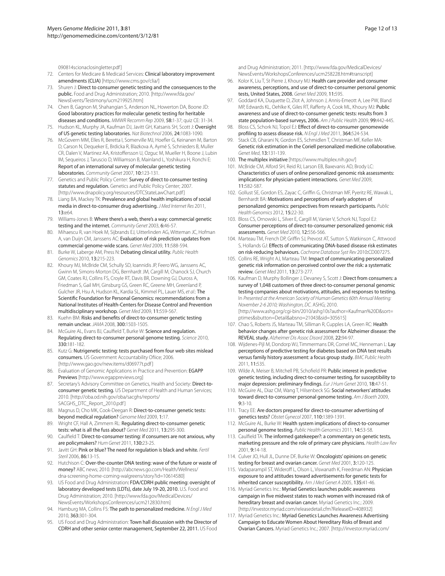090814scionaclosingletter.pdf]

- 72. Centers for Medicare & Medicaid Services: Clinical laboratory improvement amendments (CLIA) [https://www.cms.gov/clia/]
- 73. Shuren J: Direct to consumer genetic testing and the consequences to the public. Food and Drug Administration; 2010. [http://www.fda.gov/ NewsEvents/Testimony/ucm219925.htm]
- 74. Chen B, Gagnon M, Shahangian S, Anderson NL, Howerton DA, Boone JD: Good laboratory practices for molecular genetic testing for heritable diseases and conditions. *MMWR Recomm Rep* 2009, 58:1-37; quiz CE: 31-34.
- 75. Hudson KL, Murphy JA, Kaufman DJ, Javitt GH, Katsanis SH, Scott J: Oversight of US genetic testing laboratories. *Nat Biotechnol* 2006, 24:1083-1090.
- 76. McGovern MM, Elles R, Beretta I, Somerville MJ, Hoefler G, Keinanen M, Barton D, Carson N, Dequeker E, Brdicka R, Blazkova A, Aymé S, Schnieders B, Muller CR, Dalen V, Martinez AA, Kristoffersson U, Ozguc M, Mueller H, Boone J, Lubin IM, Sequeiros J, Taruscio D, Williamson B, Mainland L, Yoshikura H, Ronchi E: Report of an international survey of molecular genetic testing laboratories. *Community Genet* 2007, 10:123-131.
- 77. Genetics and Public Policy Center: Survey of direct to consumer testing statutes and regulation. Genetics and Public Policy Center; 2007. [http://www.dnapolicy.org/resources/DTCStateLawChart.pdf ]
- 78. Liang BA, Mackey TK: Prevalence and global health implications of social media in direct-to-consumer drug advertising. *J Med Internet Res* 2011, 13:e64.
- 79. Williams-Jones B: Where there's a web, there's a way: commercial genetic testing and the internet. *Community Genet* 2003, 6:46-57.
- 80. Mihaescu R, van Hoek M, Sijbrands EJ, Uitterlinden AG, Witteman JC, Hofman A, van Duijn CM, Janssens AC: Evaluation of risk prediction updates from commercial genome-wide scans. *Genet Med* 2009, 11:588-594.
- 81. Burke W, Laberge AM, Press N: Debating clinical utility. *Public Health Genomics* 2010, 13:215-223.
- 82. Khoury MJ, McBride CM, Schully SD, Ioannidis JP, Feero WG, Janssens AC, Gwinn M, Simons-Morton DG, Bernhardt JM, Cargill M, Chanock SJ, Church GM, Coates RJ, Collins FS, Croyle RT, Davis BR, Downing GJ, Duross A, Friedman S, Gail MH, Ginsburg GS, Green RC, Greene MH, Greenland P, Gulcher JR, Hsu A, Hudson KL, Kardia SL, Kimmel PL, Lauer MS, *et al*.: The Scientific Foundation for Personal Genomics: recommendations from a National Institutes of Health-Centers for Disease Control and Prevention multidisciplinary workshop. *Genet Med* 2009, 11:559-567.
- 83. Kuehn BM: Risks and benefits of direct-to-consumer genetic testing remain unclear. *JAMA* 2008, 300:1503-1505.
- 84. McGuire AL, Evans BJ, Caulfield T, Burke W: Science and regulation. Regulating direct-to-consumer personal genome testing. *Science* 2010, 330:181-182.
- 85. Kutz G: Nutrigenetic testing: tests purchased from four web sites mislead consumers. US Government Accountability Ofiice; 2006. [http://www.gao.gov/new.items/d06977t.pdf ]
- 86. Evaluation of Genomic Applications in Practice and Prevention: EGAPP Previews [http://www.egappreviews.org]
- 87. Secretary's Advisory Committee on Genetics, Health and Society: Direct-toconsumer genetic testing. US Department of Health and Human Services; 2010. [http://oba.od.nih.gov/oba/sacghs/reports/ SACGHS\_DTC\_Report\_2010.pdf]
- 88. Magnus D, Cho MK, Cook-Deegan R: Direct-to-consumer genetic tests: beyond medical regulation? *Genome Med* 2009, 1:17.
- 89. Wright CF, Hall A, Zimmern RL: Regulating direct-to-consumer genetic tests: what is all the fuss about? *Genet Med* 2011, 13:295-300.
- 90. Caulfield T: Direct-to-consumer testing: if consumers are not anxious, why are policymakers? *Hum Genet* 2011, 130:23-25.
- 91. Javitt GH: Pink or blue? The need for regulation is black and white. *Fertil Steril* 2006, 86:13-15.
- 92. Hutchison C: Over-the-counter DNA testing: wave of the future or waste of money? ABC news; 2010. [http://abcnews.go.com/Health/Wellness/ dna-screening-home-coming-walgreens/story?id=10614580]
- 93. US Food and Drug Administration: FDA/CDRH public meeting: oversight of laboratory developed tests (LDTs), date July 19-20, 2010. U.S. Food and Drug Administration; 2010. [http://www.fda.gov/MedicalDevices/ NewsEvents/WorkshopsConferences/ucm212830.htm]
- 94. Hamburg MA, Collins FS: The path to personalized medicine. *N Engl J Med*  2010, 363:301-304.
- 95. US Food and Drug Administration: Town hall discussion with the Director of CDRH and other senior center management, September 22, 2011. US Food

and Drug Administration; 2011. [http://www.fda.gov/MedicalDevices/ NewsEvents/WorkshopsConferences/ucm258228.htm#transcript]

- 96. Kolor K, Liu T, St Pierre J, Khoury MJ: Health care provider and consumer awareness, perceptions, and use of direct-to-consumer personal genomic tests, United States, 2008. *Genet Med* 2009, 11:595.
- 97. Goddard KA, Duquette D, Zlot A, Johnson J, Annis-Emeott A, Lee PW, Bland MP, Edwards KL, Oehlke K, Giles RT, Rafferty A, Cook ML, Khoury MJ: Public awareness and use of direct-to-consumer genetic tests: results from 3 state population-based surveys, 2006. *Am J Public Health* 2009, 99:442-445.
- 98. Bloss CS, Schork NJ, Topol EJ: Effect of direct-to-consumer genomewide profiling to assess disease risk. *N Engl J Med* 2011, 364:524-534.
- Stack CB, Gharani N, Gordon ES, Schmidlen T, Christman MF, Keller MA: Genetic risk estimation in the Coriell personalized medicine collaborative. *Genet Med*, 13:131-139.
- 100. The multiplex initiative [https://www.multiplex.nih.gov/]
- 101. McBride CM, Alford SH, Reid RJ, Larson EB, Baxevanis AD, Brody LC: Characteristics of users of online personalized genomic risk assessments: implications for physician-patient interactions. *Genet Med* 2009, 11:582-587.
- 102. Gollust SE, Gordon ES, Zayac C, Griffin G, Christman MF, Pyeritz RE, Wawak L, Bernhardt BA: Motivations and perceptions of early adopters of personalized genomics: perspectives from research participants. *Public Health Genomics* 2012, 15:22-30.
- 103. Bloss CS, Ornowski L, Silver E, Cargill M, Vanier V, Schork NJ, Topol EJ: Consumer perceptions of direct-to-consumer personalized genomic risk assessments. *Genet Med* 2010, 12:556-566.
- 104. Marteau TM, French DP, Griffin SJ, Prevost AT, Sutton S, Watkinson C, Attwood S, Hollands GJ: Effects of communicating DNA-based disease risk estimates on risk-reducing behaviours. *Cochrane Database Syst Rev* 2010:CD007275.
- 105. Collins RE, Wright AJ, Marteau TM: Impact of communicating personalized genetic risk information on perceived control over the risk: a systematic review. *Genet Med* 2011, 13:273-277.
- 106. Kaufman D, Murphy Bollinger J, Devaney S, Scott J: Direct from consumers: a survey of 1,048 customers of three direct-to-consumer personal genomic testing companies about motivations, attitudes, and responses to testing. In *Presented at the American Society of Human Genetics 60th Annual Meeting: November 2-6 2010; Washington, DC*. ASHG; 2010. [http://www.ashg.org/cgi-bin/2010/ashg10s?author=Kaufman%20D&sort= ptimes&sbutton=Detail&absno=21043&sid=305615]
- 107. Chao S, Roberts JS, Marteau TM, Silliman R, Cupples LA, Green RC: Health behavior changes after genetic risk assessment for Alzheimer disease: the REVEAL study. *Alzheimer Dis Assoc Disord* 2008, 22:94-97.
- 108. Wijdenes-Pijl M, Dondorp WJ, Timmermans DR, Cornel MC, Henneman L: Lay perceptions of predictive testing for diabetes based on DNA test results versus family history assessment: a focus group study. *BMC Public Health* 2011, 11:535.
- 109. Wilde A, Meiser B, Mitchell PB, Schofield PR: Public interest in predictive genetic testing, including direct-to-consumer testing, for susceptibility to major depression: preliminary findings. *Eur J Hum Genet* 2010, 18:47-51.
- 110. McGuire AL, Diaz CM, Wang T, Hilsenbeck SG: Social networkers' attitudes toward direct-to-consumer personal genome testing. *Am J Bioeth* 2009,  $9.3 - 10$
- 111. Tracy EE: Are doctors prepared for direct-to-consumer advertising of genetics tests? *Obstet Gynecol* 2007, 110:1389-1391.
- 112. McGuire AL, Burke W: Health system implications of direct-to-consumer personal genome testing. *Public Health Genomics* 2011, 14:53-58.
- 113. Caulfield TA: The informed gatekeeper?: a commentary on genetic tests, marketing pressure and the role of primary care physicians. *Health Law Rev*  2001, 9:14-18.
- 114. Culver JO, Hull JL, Dunne DF, Burke W: Oncologists' opinions on genetic testing for breast and ovarian cancer. *Genet Med* 2001, 3:120-125.
- 115. Vadaparampil ST, Wideroff L, Olson L, Viswanath K, Freedman AN: Physician exposure to and attitudes toward advertisements for genetic tests for inherited cancer susceptibility. *Am J Med Genet A* 2005, 135:41-46.
- 116. Myriad Genetics Inc.: Myriad Genetics launches public awareness campaign in five midwest states to reach women with increased risk of hereditary breast and ovarian cancer. Myriad Genetics Inc*.*; 2009. [http://investor.myriad.com/releasedetail.cfm?ReleaseID=408932]
- 117. Myriad Genetics Inc.: Myriad Genetics Launches Awareness Advertising Campaign to Educate Women About Hereditary Risks of Breast and Ovarian Cancers. Myriad Genetics Inc.; 2007. [http://investor.myriad.com/